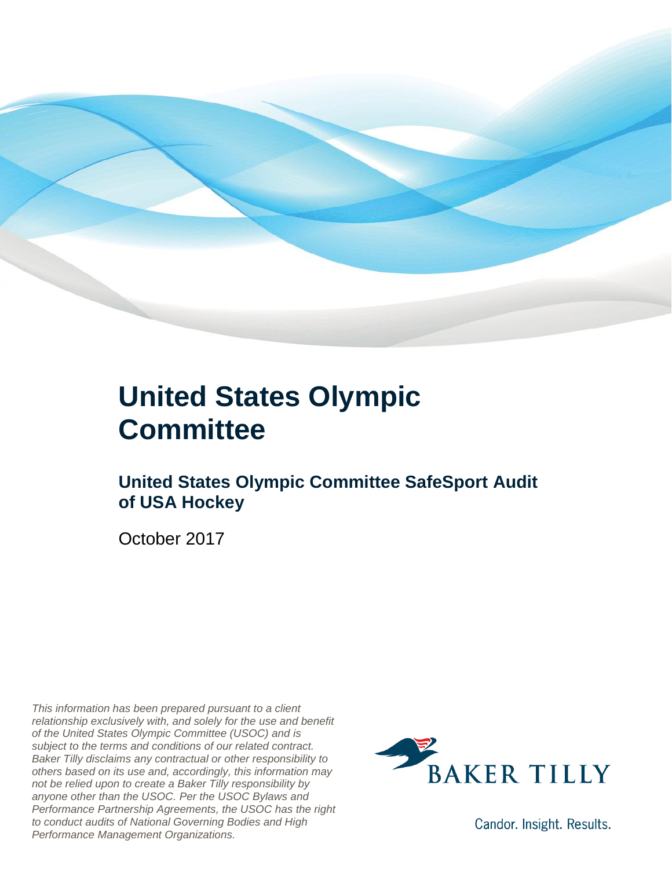

### **United States Olympic Committee**

### **United States Olympic Committee SafeSport Audit of USA Hockey**

October 2017

*This information has been prepared pursuant to a client relationship exclusively with, and solely for the use and benefit of the United States Olympic Committee (USOC) and is subject to the terms and conditions of our related contract. Baker Tilly disclaims any contractual or other responsibility to others based on its use and, accordingly, this information may not be relied upon to create a Baker Tilly responsibility by anyone other than the USOC. Per the USOC Bylaws and Performance Partnership Agreements, the USOC has the right to conduct audits of National Governing Bodies and High Performance Management Organizations.*



Candor. Insight. Results.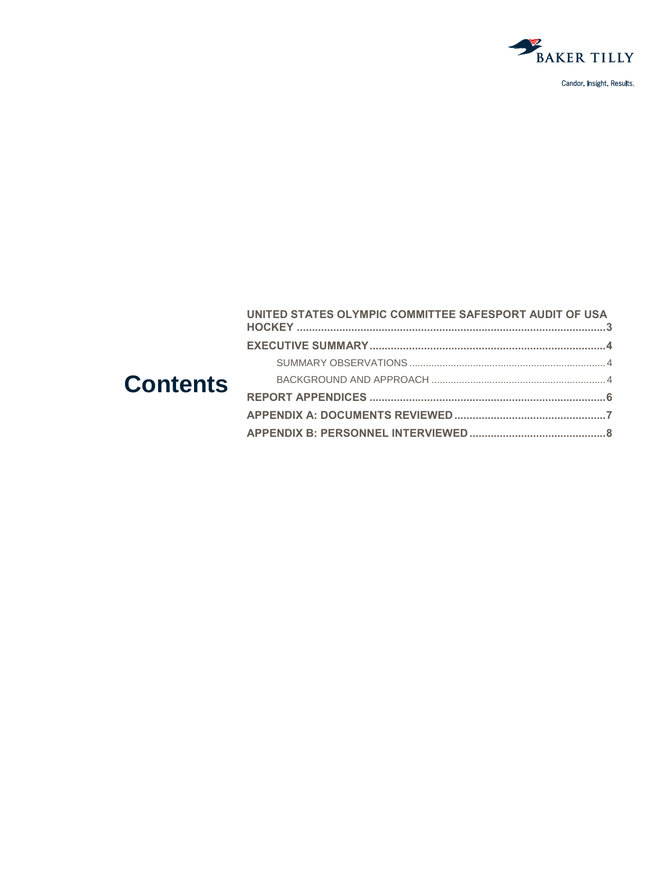

Candor. Insight. Results.

|                 | UNITED STATES OLYMPIC COMMITTEE SAFESPORT AUDIT OF USA |  |
|-----------------|--------------------------------------------------------|--|
| <b>Contents</b> |                                                        |  |
|                 |                                                        |  |
|                 |                                                        |  |
|                 |                                                        |  |
|                 |                                                        |  |
|                 |                                                        |  |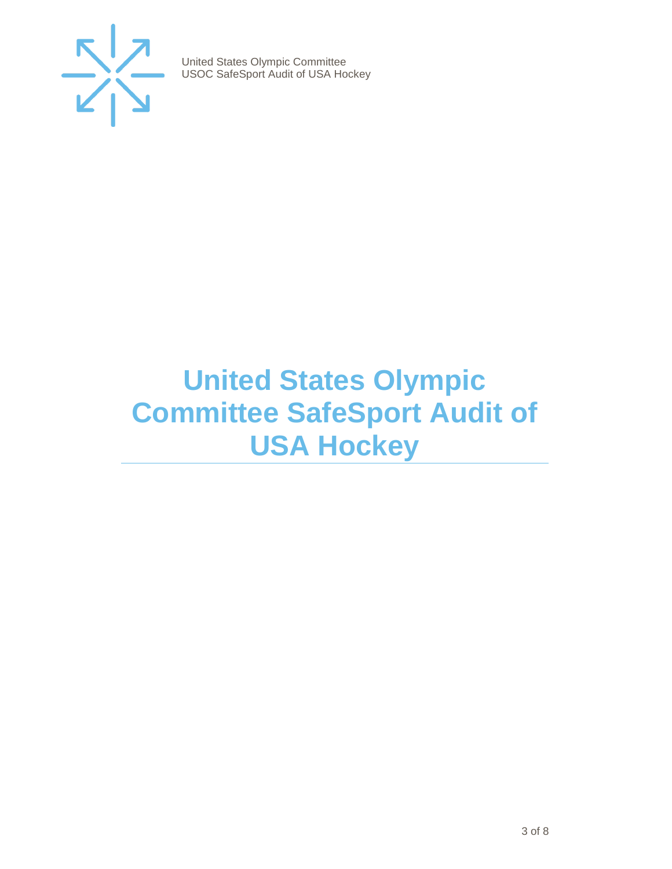

### <span id="page-2-0"></span>**United States Olympic Committee SafeSport Audit of USA Hockey**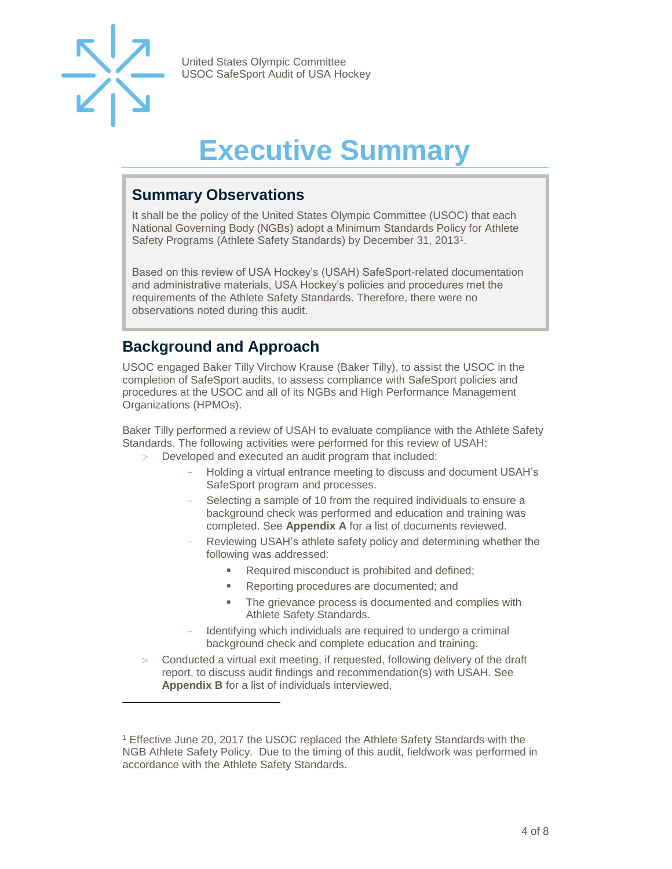

l

United States Olympic Committee USOC SafeSport Audit of USA Hockey

## **Executive Summary**

#### <span id="page-3-1"></span><span id="page-3-0"></span>**Summary Observations**

It shall be the policy of the United States Olympic Committee (USOC) that each National Governing Body (NGBs) adopt a Minimum Standards Policy for Athlete Safety Programs (Athlete Safety Standards) by December 31, 2013<sup>1</sup>.

Based on this review of USA Hockey's (USAH) SafeSport-related documentation and administrative materials, USA Hockey's policies and procedures met the requirements of the Athlete Safety Standards. Therefore, there were no observations noted during this audit.

#### <span id="page-3-2"></span>**Background and Approach**

USOC engaged Baker Tilly Virchow Krause (Baker Tilly), to assist the USOC in the completion of SafeSport audits, to assess compliance with SafeSport policies and procedures at the USOC and all of its NGBs and High Performance Management Organizations (HPMOs).

Baker Tilly performed a review of USAH to evaluate compliance with the Athlete Safety Standards. The following activities were performed for this review of USAH:

- Developed and executed an audit program that included:
	- Holding a virtual entrance meeting to discuss and document USAH's SafeSport program and processes.
	- Selecting a sample of 10 from the required individuals to ensure a background check was performed and education and training was completed. See **Appendix A** for a list of documents reviewed.
	- Reviewing USAH's athlete safety policy and determining whether the following was addressed:
		- Required misconduct is prohibited and defined;
		- Reporting procedures are documented; and
		- The grievance process is documented and complies with Athlete Safety Standards.
	- Identifying which individuals are required to undergo a criminal background check and complete education and training.
- Conducted a virtual exit meeting, if requested, following delivery of the draft report, to discuss audit findings and recommendation(s) with USAH. See **Appendix B** for a list of individuals interviewed.

<sup>1</sup> Effective June 20, 2017 the USOC replaced the Athlete Safety Standards with the NGB Athlete Safety Policy. Due to the timing of this audit, fieldwork was performed in accordance with the Athlete Safety Standards.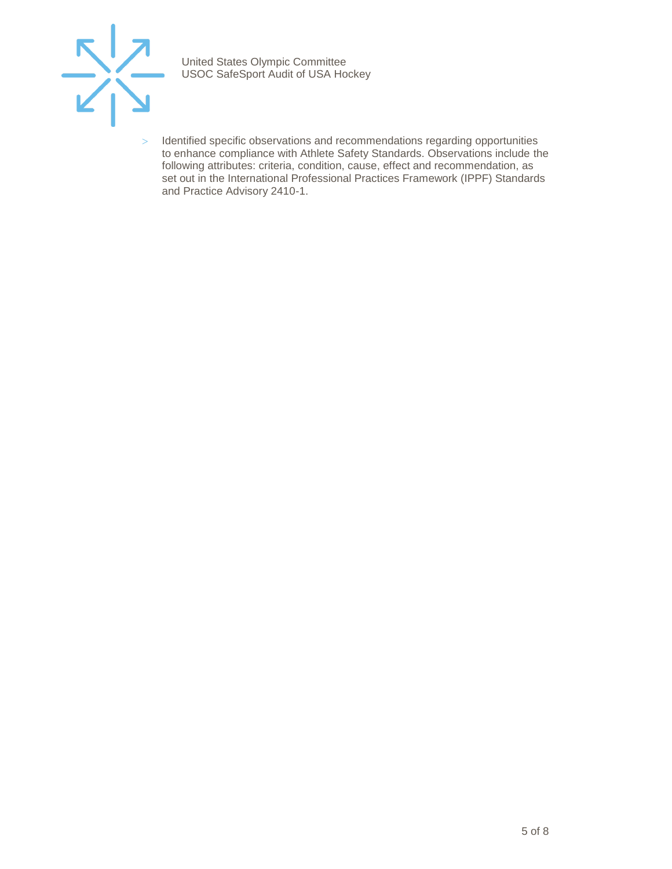

> Identified specific observations and recommendations regarding opportunities to enhance compliance with Athlete Safety Standards. Observations include the following attributes: criteria, condition, cause, effect and recommendation, as set out in the International Professional Practices Framework (IPPF) Standards and Practice Advisory 2410-1.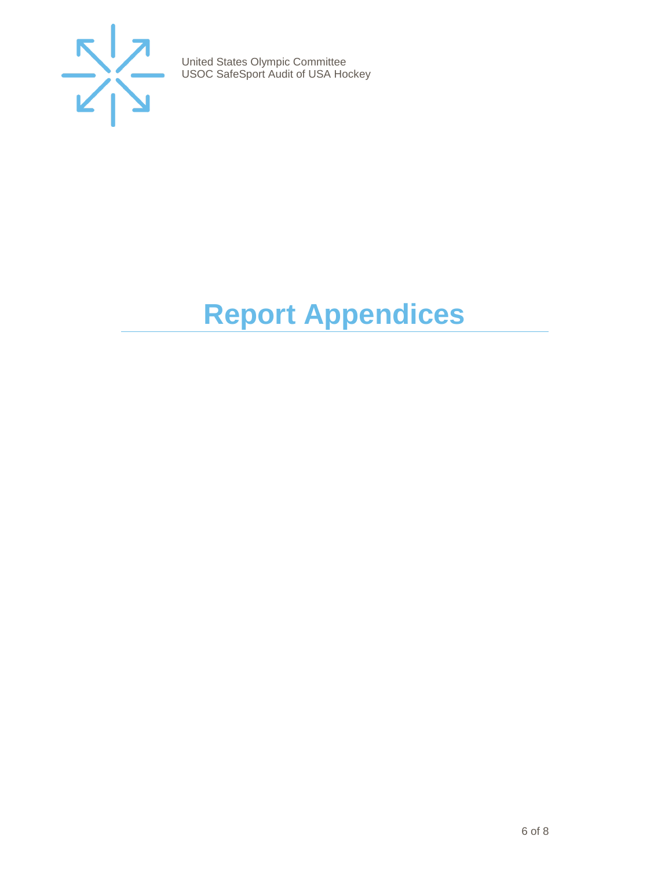

## <span id="page-5-0"></span>**Report Appendices**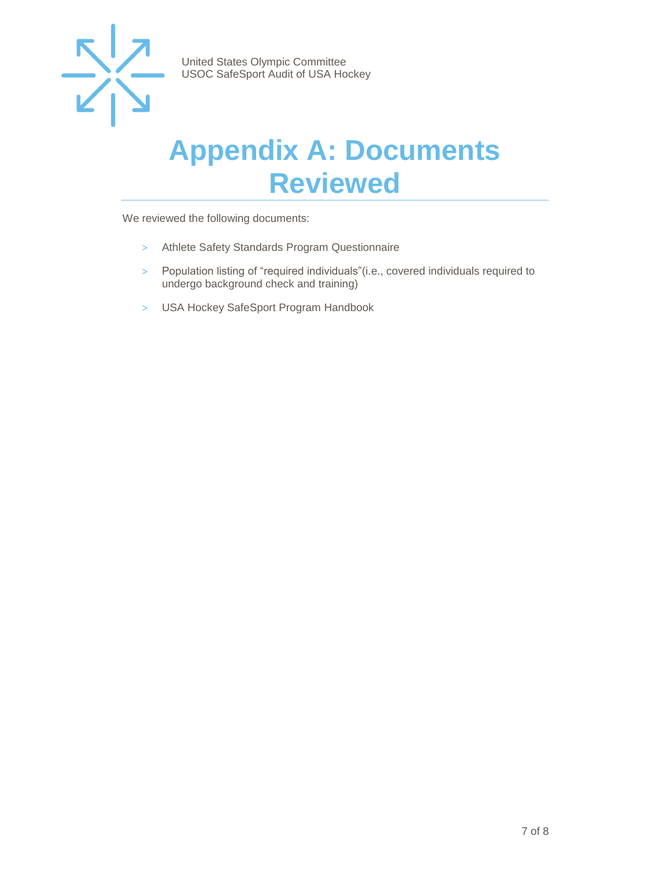

### <span id="page-6-0"></span>**Appendix A: Documents Reviewed**

We reviewed the following documents:

- > Athlete Safety Standards Program Questionnaire
- > Population listing of "required individuals"(i.e., covered individuals required to undergo background check and training)
- > USA Hockey SafeSport Program Handbook